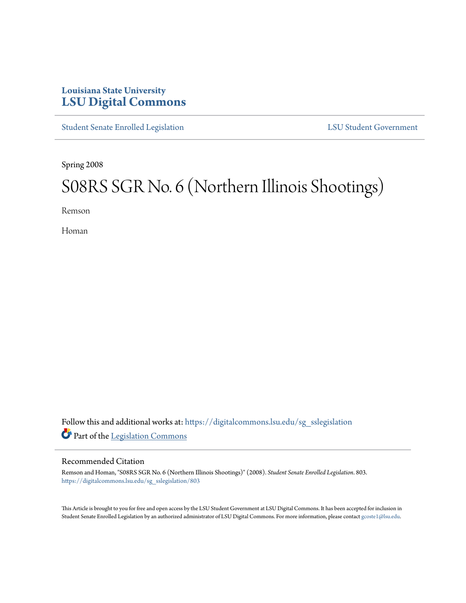## **Louisiana State University [LSU Digital Commons](https://digitalcommons.lsu.edu?utm_source=digitalcommons.lsu.edu%2Fsg_sslegislation%2F803&utm_medium=PDF&utm_campaign=PDFCoverPages)**

[Student Senate Enrolled Legislation](https://digitalcommons.lsu.edu/sg_sslegislation?utm_source=digitalcommons.lsu.edu%2Fsg_sslegislation%2F803&utm_medium=PDF&utm_campaign=PDFCoverPages) [LSU Student Government](https://digitalcommons.lsu.edu/sg?utm_source=digitalcommons.lsu.edu%2Fsg_sslegislation%2F803&utm_medium=PDF&utm_campaign=PDFCoverPages)

Spring 2008

# S08RS SGR No. 6 (Northern Illinois Shootings)

Remson

Homan

Follow this and additional works at: [https://digitalcommons.lsu.edu/sg\\_sslegislation](https://digitalcommons.lsu.edu/sg_sslegislation?utm_source=digitalcommons.lsu.edu%2Fsg_sslegislation%2F803&utm_medium=PDF&utm_campaign=PDFCoverPages) Part of the [Legislation Commons](http://network.bepress.com/hgg/discipline/859?utm_source=digitalcommons.lsu.edu%2Fsg_sslegislation%2F803&utm_medium=PDF&utm_campaign=PDFCoverPages)

#### Recommended Citation

Remson and Homan, "S08RS SGR No. 6 (Northern Illinois Shootings)" (2008). *Student Senate Enrolled Legislation*. 803. [https://digitalcommons.lsu.edu/sg\\_sslegislation/803](https://digitalcommons.lsu.edu/sg_sslegislation/803?utm_source=digitalcommons.lsu.edu%2Fsg_sslegislation%2F803&utm_medium=PDF&utm_campaign=PDFCoverPages)

This Article is brought to you for free and open access by the LSU Student Government at LSU Digital Commons. It has been accepted for inclusion in Student Senate Enrolled Legislation by an authorized administrator of LSU Digital Commons. For more information, please contact [gcoste1@lsu.edu.](mailto:gcoste1@lsu.edu)